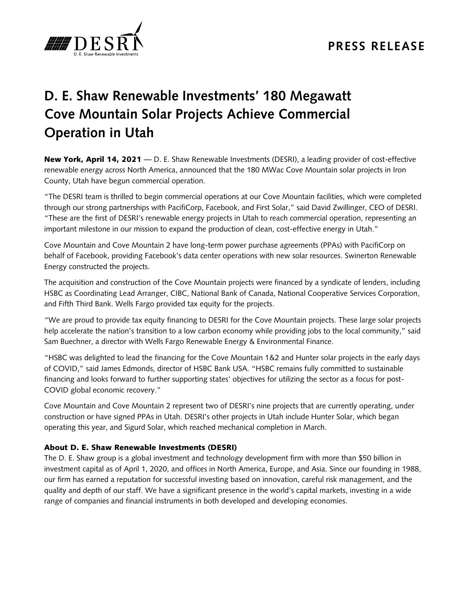

## **PRESS RELEASE**

## **D. E. Shaw Renewable Investments' 180 Megawatt Cove Mountain Solar Projects Achieve Commercial Operation in Utah**

New York, April 14, 2021 — D. E. Shaw Renewable Investments (DESRI), a leading provider of cost-effective renewable energy across North America, announced that the 180 MWac Cove Mountain solar projects in Iron County, Utah have begun commercial operation.

"The DESRI team is thrilled to begin commercial operations at our Cove Mountain facilities, which were completed through our strong partnerships with PacifiCorp, Facebook, and First Solar," said David Zwillinger, CEO of DESRI. "These are the first of DESRI's renewable energy projects in Utah to reach commercial operation, representing an important milestone in our mission to expand the production of clean, cost-effective energy in Utah."

Cove Mountain and Cove Mountain 2 have long-term power purchase agreements (PPAs) with PacifiCorp on behalf of Facebook, providing Facebook's data center operations with new solar resources. Swinerton Renewable Energy constructed the projects.

The acquisition and construction of the Cove Mountain projects were financed by a syndicate of lenders, including HSBC as Coordinating Lead Arranger, CIBC, National Bank of Canada, National Cooperative Services Corporation, and Fifth Third Bank. Wells Fargo provided tax equity for the projects.

"We are proud to provide tax equity financing to DESRI for the Cove Mountain projects. These large solar projects help accelerate the nation's transition to a low carbon economy while providing jobs to the local community," said Sam Buechner, a director with Wells Fargo Renewable Energy & Environmental Finance.

"HSBC was delighted to lead the financing for the Cove Mountain 1&2 and Hunter solar projects in the early days of COVID," said James Edmonds, director of HSBC Bank USA. "HSBC remains fully committed to sustainable financing and looks forward to further supporting states' objectives for utilizing the sector as a focus for post-COVID global economic recovery."

Cove Mountain and Cove Mountain 2 represent two of DESRI's nine projects that are currently operating, under construction or have signed PPAs in Utah. DESRI's other projects in Utah include Hunter Solar, which began operating this year, and Sigurd Solar, which reached mechanical completion in March.

## About D. E. Shaw Renewable Investments (DESRI)

The D. E. Shaw group is a global investment and technology development firm with more than \$50 billion in investment capital as of April 1, 2020, and offices in North America, Europe, and Asia. Since our founding in 1988, our firm has earned a reputation for successful investing based on innovation, careful risk management, and the quality and depth of our staff. We have a significant presence in the world's capital markets, investing in a wide range of companies and financial instruments in both developed and developing economies.